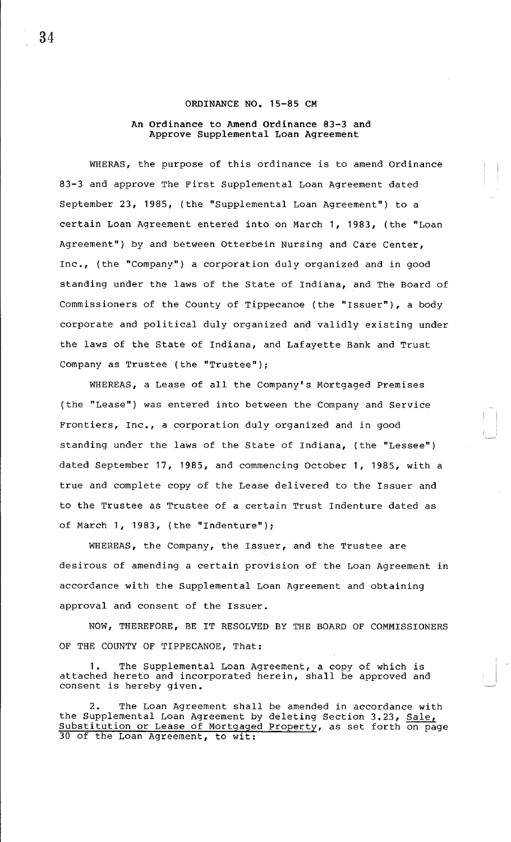## **ORDINANCE NO. 15-85 CM**

## **An Ordinance to Amend Ordinance 83-3 and Approve Supplemental Loan Agreement**

WHERAS, the purpose of this ordinance is to amend Ordinance 83-3 and approve The First Supplemental Loan Agreement dated September 23, 1985, (the "Supplemental Loan Agreement") to a certain Loan Agreement entered into on March **1,** 1983, (the "Loan Agreement") by and between Otterbein Nursing and Care Center, Inc., (the "Company") a corporation duly organized and in good standing under the laws of the State of Indiana, and The Board of Commissioners of the County of Tippecanoe (the "Issuer"), a body corporate and political duly organized and validly existing under the laws of the State of Indiana, and Lafayette Bank and Trust Company as Trustee (the "Trustee");

WHEREAS, a Lease of all the Company's Mortgaged Premises (the "Lease") was entered into between the Company and Service Frontiers, Inc,, a corporation duly organized and in good standing under the laws of the State of Indiana, (the "Lessee") dated September **17,** 1985, and commencing October **1,** 1985, with a true and complete copy of the Lease delivered to the Issuer and to the Trustee as Trustee of a certain Trust Indenture dated as of March **1,** 1983, (the "Indenture");

WHEREAS, the Company, the Issuer, and the Trustee are desirous of amending a certain provision of the Loan Agreement in accordance with the Supplemental Loan Agreement and obtaining approval and consent of the Issuer.

NOW, THEREFORE, BE IT RESOLVED BY THE BOARD OF COMMISSIONERS OF THE COUNTY OF TIPPECANOE, That:

1. The Supplemental Loan Agreement, a copy of which is attached hereto and incorporated herein, shall be approved and consent is hereby given.

2. The Loan Agreement shall be amended in accordance with the Supplemental Loan Agreement by deleting Section 3.23, Sale, Substitution or Lease of Mortgaged Property, as set forth on page 30 of the Loan Agreement, to wit:

34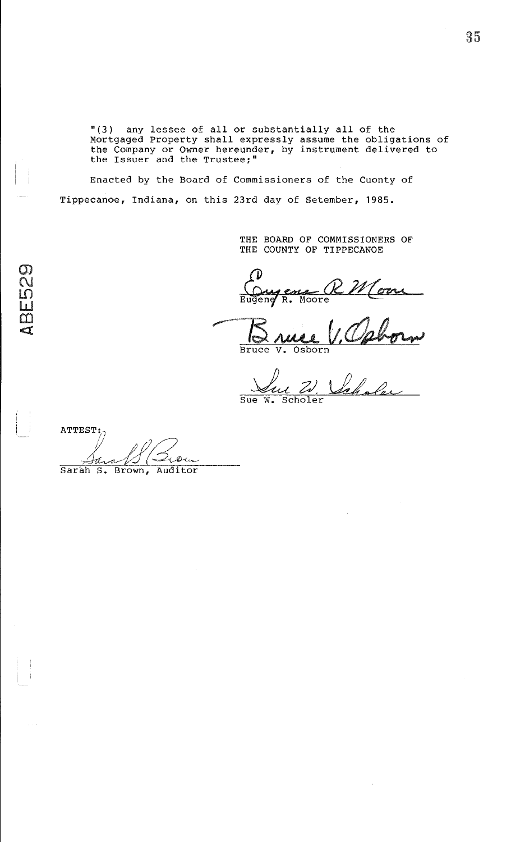"(3) any lessee of all or substantially all of the Mortgaged Property shall expressly assume the obligations of the Company or Owner hereunder, by instrument delivered to the Issuer and the Trustee;"

Enacted by the Board of Commissioners of the Cuonty of Tippecanoe, Indiana, on this 23rd day of Setember, 1985.

> THE BOARD OF COMMISSIONERS OF THE COUNTY OF TIPPECANOE

Ougene R Moon

<u>Bruce</u> Bruce

Que 21, Veholer

 $\begin{matrix} \text{ATTEST:} \ & \text{if} \ & \text{if} \ & \text{if} \ & \text{if} \ & \text{if} \ & \text{if} \ & \text{if} \ & \text{if} \ & \text{if} \ & \text{if} \ & \text{if} \ & \text{if} \ & \text{if} \ & \text{if} \ & \text{if} \ & \text{if} \ & \text{if} \ & \text{if} \ & \text{if} \ & \text{if} \ & \text{if} \ & \text{if} \ & \text{if} \ & \text{if} \ & \text{if} \ & \text{if} \ & \text{if} \ & \text{if} \ & \text{if} \ & \text{$ 1. Jara 10 ( You

 $\mathcal{Q}$  $\overline{\mathcal{C}}$ 

 $\mathbf{u}$  $\Box$  $\leq$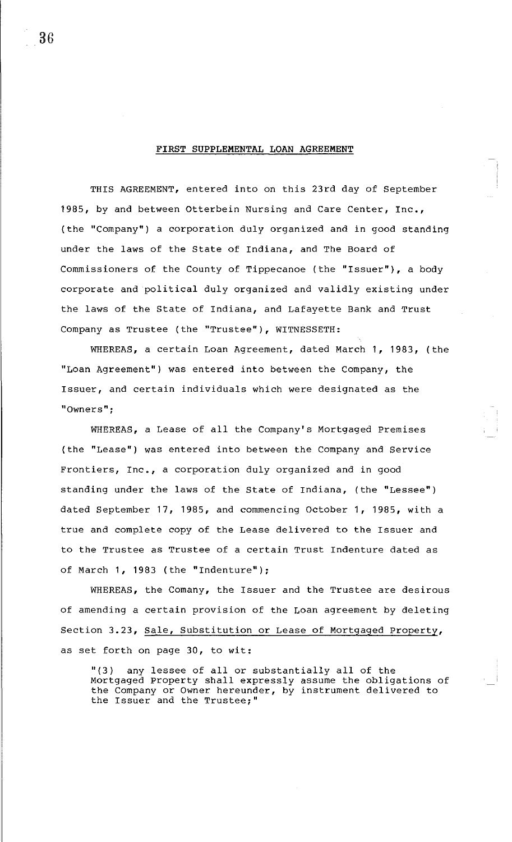## **FIRST SUPPLEMENTAL LOAN AGREEMENT**

THIS AGREEMENT, entered into on this 23rd day of September 1985, by and between Otterbein Nursing and Care Center, Inc., (the "Company") a corporation duly organized and in good standing under the laws of the State of Indiana, and The Board of Commissioners of the County of Tippecanoe (the "Issuer"), a body corporate and political duly organized and validly existing under the laws of the State of Indiana, and Lafayette Bank and Trust Company as Trustee (the "Trustee"), WITNESSETH:

WHEREAS, a certain Loan Agreement, dated March 1, 1983, (the "Loan Agreement") was entered into between the Company, the Issuer, and certain individuals which were designated as the **"Owners'';** 

WHEREAS, a Lease of all the Company's Mortgaged Premises (the "Lease") was entered into between the Company and Service Frontiers, Inc., a corporation duly organized and in good standing under the laws of the State of Indiana, (the "Lessee") dated September 17, 1985, and commencing October 1, 1985, with a true and complete copy of the Lease delivered to the Issuer and to the Trustee as Trustee of a certain Trust Indenture dated as of March 1, 1983 (the "Indenture");

WHEREAS, the Comany, the Issuer and the Trustee are desirous of amending a certain provision of the Loan agreement by deleting Section 3.23, Sale, Substitution or Lease of Mortgaged Property, as set forth on page 30, to wit:

"(3) any lessee of all or substantially all of the Mortgaged Property shall expressly assume the obligations of the Company or Owner hereunder, by instrument delivered to the Issuer and the Trustee;"

36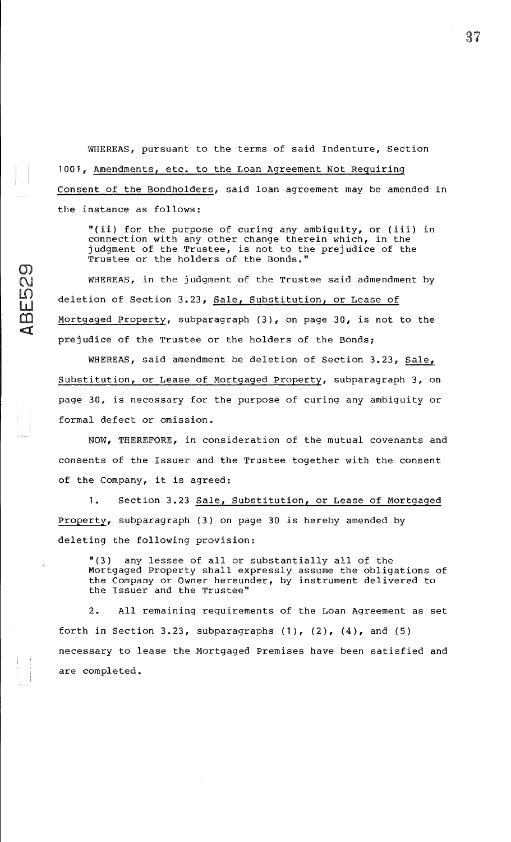WHEREAS, pursuant to the terms of said Indenture, Section 1001, Amendments, etc. to the Loan Agreement Not Requiring Consent of the Bondholders, said loan agreement may be amended in the instance as follows:

"(ii) for the purpose of curing any ambiguity, or (iii) in connection with any other change therein which, in the judgment of the Trustee, is not to the prejudice of the Trustee or the holders of the Bonds."

WHEREAS, in the judgment of the Trustee said admendment by deletion of Section 3.23, Sale, Substitution, or Lease of Mortgaged Property, subparagraph (3), on page 30, is not to the prejudice of the Trustee or the holders of the Bonds;

WHEREAS, said amendment be deletion of Section 3.23, Sale, Substitution, or Lease of Mortgaged Property, subparagraph 3, on page 30, is necessary for the purpose of curing any ambiguity or formal defect or omission.

NOW, THEREFORE, in consideration of the mutual covenants and consents of the Issuer and the Trustee together with the consent of the Company, it is agreed:

1. Section 3.23 Sale, Substitution, or Lease of Mortgaged Property, subparagraph (3) on page 30 is hereby amended by deleting the following provision:

"(3) any lessee of all or substantially all of the Mortgaged Property shall expressly assume the obligations of the Company or Owner hereunder, by instrument delivered to the Issuer and the Trustee"

2. All remaining requirements of the Loan Agreement as set forth in Section 3.23, subparagraphs  $(1)$ ,  $(2)$ ,  $(4)$ , and  $(5)$ necessary to lease the Mortgaged Premises have been satisfied and are completed.